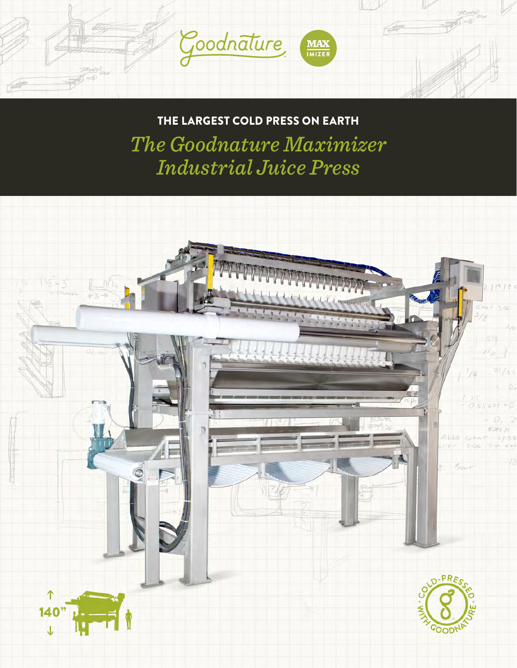

## THE LARGEST COLD PRESS ON EARTH

*The Goodnature Maximizer Industrial Juice Press*

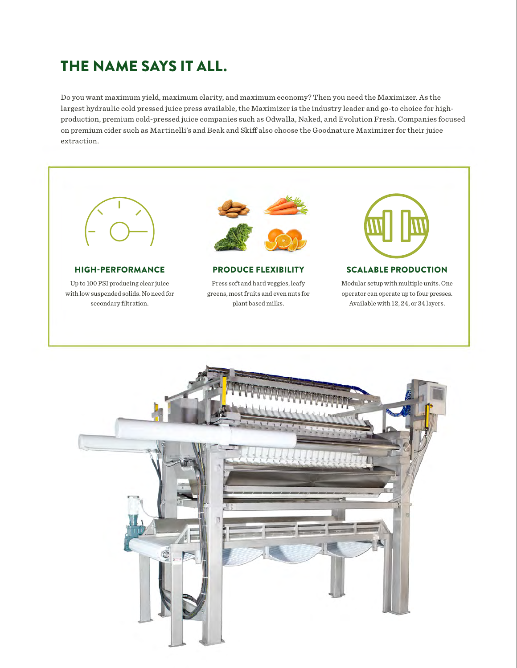## THE NAME SAYS IT ALL.

Do you want maximum yield, maximum clarity, and maximum economy? Then you need the Maximizer. As the largest hydraulic cold pressed juice press available, the Maximizer is the industry leader and go-to choice for highproduction, premium cold-pressed juice companies such as Odwalla, Naked, and Evolution Fresh. Companies focused on premium cider such as Martinelli's and Beak and Skiff also choose the Goodnature Maximizer for their juice extraction.

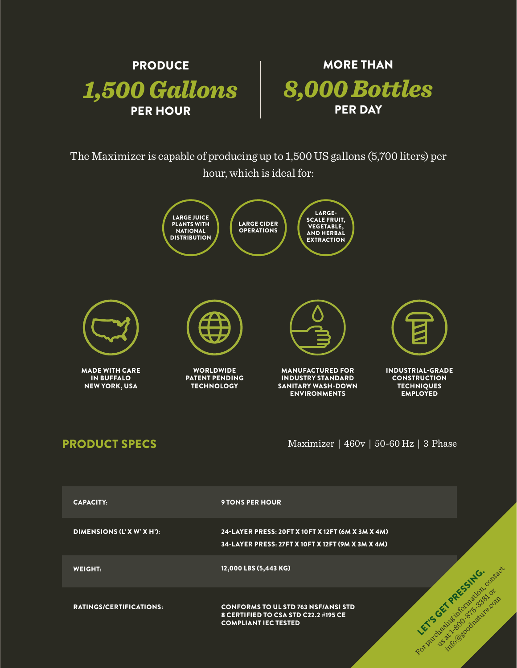



The Maximizer is capable of producing up to 1,500 US gallons (5,700 liters) per hour, which is ideal for:



PRODUCT SPECS

Maximizer | 460v | 50-60 Hz | 3 Phase

| <b>CAPACITY:</b>               | <b>9 TONS PER HOUR</b>                                                                                            |  |
|--------------------------------|-------------------------------------------------------------------------------------------------------------------|--|
| DIMENSIONS (L' X W' X H'):     | 24-LAYER PRESS: 20FT X 10FT X 12FT (6M X 3M X 4M)<br>34-LAYER PRESS: 27FT X 10FT X 12FT (9M X 3M X 4M)            |  |
| <b>WEIGHT:</b>                 | 12,000 LBS (5,443 KG)                                                                                             |  |
| <b>RATINGS/CERTIFICATIONS:</b> | <b>CONFORMS TO UL STD 763 NSF/ANSI STD</b><br>8 CERTIFIED TO CSA STD C22.2 #195 CE<br><b>COMPLIANT IEC TESTED</b> |  |